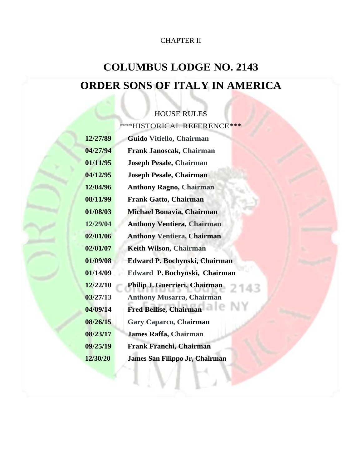## CHAPTER II

# **COLUMBUS LODGE NO. 2143 ORDER SONS OF ITALY IN AMERICA**

## HOUSE RULES

\*\*\*HISTORICAL REFERENCE\*\*\*

| 12/27/89 | Guido Vitiello, Chairman          |  |  |
|----------|-----------------------------------|--|--|
| 04/27/94 | <b>Frank Janoscak, Chairman</b>   |  |  |
| 01/11/95 | <b>Joseph Pesale, Chairman</b>    |  |  |
| 04/12/95 | <b>Joseph Pesale, Chairman</b>    |  |  |
| 12/04/96 | <b>Anthony Ragno, Chairman</b>    |  |  |
| 08/11/99 | <b>Frank Gatto, Chairman</b>      |  |  |
| 01/08/03 | Michael Bonavia, Chairman         |  |  |
| 12/29/04 | <b>Anthony Ventiera, Chairman</b> |  |  |
| 02/01/06 | <b>Anthony Ventiera, Chairman</b> |  |  |
| 02/01/07 | <b>Keith Wilson, Chairman</b>     |  |  |
| 01/09/08 | Edward P. Bochynski, Chairman     |  |  |
| 01/14/09 | Edward P. Bochynski, Chairman     |  |  |
| 12/22/10 | Philip J. Guerrieri, Chairman     |  |  |
| 03/27/13 | <b>Anthony Musarra, Chairman</b>  |  |  |
| 04/09/14 | <b>Fred Bellise, Chairman</b>     |  |  |
| 08/26/15 | <b>Gary Caparco, Chairman</b>     |  |  |
| 08/23/17 | <b>James Raffa, Chairman</b>      |  |  |
| 09/25/19 | <b>Frank Franchi, Chairman</b>    |  |  |
| 12/30/20 | James San Filippo Jr, Chairman    |  |  |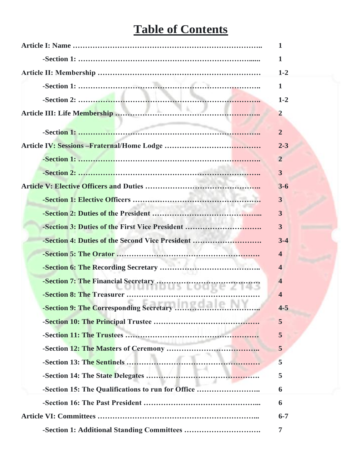# **Table of Contents**

|                                                   | 1                       |
|---------------------------------------------------|-------------------------|
|                                                   | $\mathbf{1}$            |
|                                                   | $1 - 2$                 |
|                                                   | $\mathbf 1$             |
|                                                   | $1 - 2$                 |
|                                                   | $\overline{2}$          |
|                                                   | $\overline{2}$          |
|                                                   | $2 - 3$                 |
|                                                   | $\overline{2}$          |
|                                                   | 3                       |
|                                                   | $3 - 6$                 |
|                                                   | 3                       |
|                                                   | 3                       |
| -Section 3: Duties of the First Vice President    | $\mathbf{3}$            |
| -Section 4: Duties of the Second Vice President   | $3 - 4$                 |
|                                                   | $\overline{\mathbf{4}}$ |
|                                                   | $\overline{\mathbf{4}}$ |
|                                                   | $\overline{\mathbf{4}}$ |
| -Section 8: The Treasurer                         | $\overline{\mathbf{4}}$ |
|                                                   | $4 - 5$                 |
|                                                   | 5                       |
|                                                   | 5                       |
|                                                   | 5                       |
|                                                   | 5                       |
|                                                   | 5                       |
| -Section 15: The Qualifications to run for Office | 6                       |
|                                                   | 6                       |
|                                                   | $6 - 7$                 |
|                                                   | $\overline{7}$          |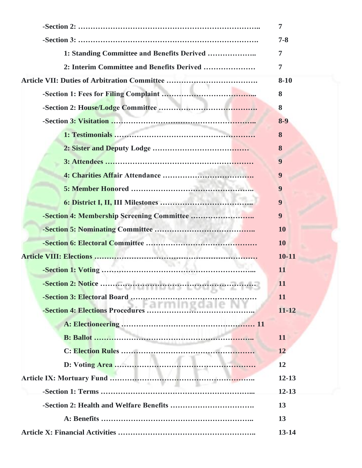| 7                |
|------------------|
| $7 - 8$          |
| 7                |
| 7                |
| $8 - 10$         |
| 8                |
| 8                |
| $8 - 9$          |
| 8                |
| 8                |
| 9                |
| 9                |
| 9                |
| $\boldsymbol{9}$ |
| $\boldsymbol{9}$ |
| <b>10</b>        |
| <b>10</b>        |
| $10 - 11$        |
| 11               |
| 11               |
| 11               |
| $11 - 12$        |
|                  |
| 11               |
| 12               |
| 12               |
| $12 - 13$        |
| $12 - 13$        |
| 13               |
| 13               |
| $13 - 14$        |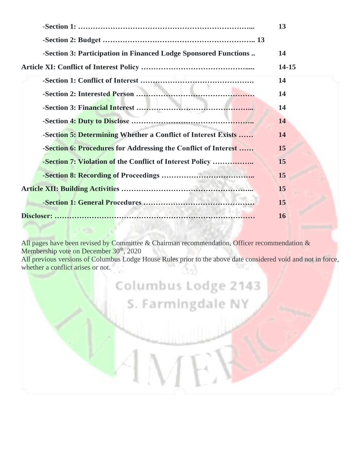|                                                                 | 13    |
|-----------------------------------------------------------------|-------|
|                                                                 |       |
| -Section 3: Participation in Financed Lodge Sponsored Functions | 14    |
|                                                                 | 14-15 |
|                                                                 | 14    |
|                                                                 | 14    |
|                                                                 | 14    |
|                                                                 | 14    |
| -Section 5: Determining Whether a Conflict of Interest Exists   | 14    |
| -Section 6: Procedures for Addressing the Conflict of Interest  | 15    |
| -Section 7: Violation of the Conflict of Interest Policy        | 15    |
|                                                                 | 15    |
|                                                                 | 15    |
|                                                                 | 15    |
|                                                                 | 16    |

All pages have been revised by Committee & Chairman recommendation, Officer recommendation & Membership vote on December 30<sup>th</sup>, 2020

All previous versions of Columbus Lodge House Rules prior to the above date considered void and not in force, whether a conflict arises or not.

Columbus Lodge 2143

S. Farmingdale NY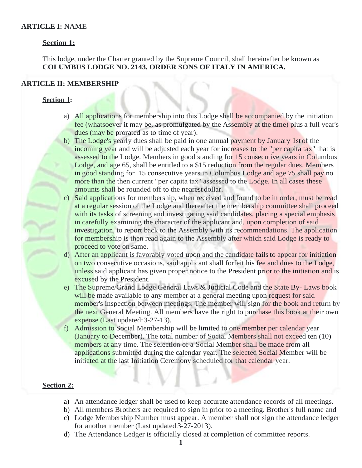#### **ARTICLE I: NAME**

#### **Section 1:**

This lodge, under the Charter granted by the Supreme Council, shall hereinafter be known as **COLUMBUS LODGE NO. 2143, ORDER SONS OF ITALY IN AMERICA.**

#### **ARTICLE II: MEMBERSHIP**

#### **Section 1:**

- a) All applications for membership into this Lodge shall be accompanied by the initiation fee (whatsoever it may be, as promulgated by the Assembly at the time) plus a full year's dues (may be prorated as to time of year).
- b) The Lodge's yearly dues shall be paid in one annual payment by January 1st of the incoming year and will be adjusted each year for increases to the "per capita tax" that is assessed to the Lodge. Members in good standing for 15 consecutive years in Columbus Lodge, and age 65, shall be entitled to a \$15 reduction from the regular dues. Members in good standing for 15 consecutive years in Columbus Lodge and age 75 shall pay no more than the then current "per capita tax" assessed to the Lodge. In all cases these amounts shall be rounded off to the nearest dollar.
- c) Said applications for membership, when received and found to be in order, must be read at a regular session of the Lodge and thereafter the membership committee shall proceed with its tasks of screening and investigating said candidates, placing a special emphasis in carefully examining the character of the applicant and, upon completion of said investigation, to report back to the Assembly with its recommendations. The application for membership is then read again to the Assembly after which said Lodge is ready to proceed to vote on same.
- d) After an applicant is favorably voted upon and the candidate fails to appear for initiation on two consecutive occasions, said applicant shall forfeit his fee and dues to the Lodge, unless said applicant has given proper notice to the President prior to the initiation and is excused by the President.
- e) The Supreme/Grand Lodge General Laws & Judicial Code and the State By- Laws book will be made available to any member at a general meeting upon request for said member's inspection between meetings. The member will sign for the book and return by the next General Meeting. All members have the right to purchase this book at their own expense (Last updated:3-27-13).
- f) Admission to Social Membership will be limited to one member per calendar year (January to December). The total number of Social Members shall not exceed ten (10) members at any time. The selection of a Social Member shall be made from all applications submitted during the calendar year. The selected Social Member will be initiated at the last Initiation Ceremony scheduled for that calendar year.

#### **Section 2:**

- a) An attendance ledger shall be used to keep accurate attendance records of all meetings.
- b) All members Brothers are required to sign in prior to a meeting. Brother's full name and
- c) Lodge Membership Number must appear. A member shall not sign the attendance ledger for another member (Last updated 3-27-2013).
- d) The Attendance Ledger is officially closed at completion of committee reports.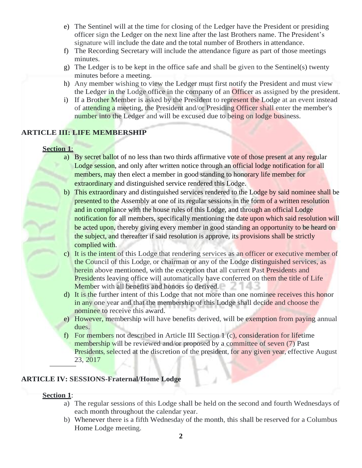- e) The Sentinel will at the time for closing of the Ledger have the President or presiding officer sign the Ledger on the next line after the last Brothers name. The President's signature will include the date and the total number of Brothers in attendance.
- f) The Recording Secretary will include the attendance figure as part of those meetings minutes.
- g) The Ledger is to be kept in the office safe and shall be given to the Sentinel(s) twenty minutes before a meeting.
- h) Any member wishing to view the Ledger must first notify the President and must view the Ledger in the Lodge office in the company of an Officer as assigned by the president.
- i) If a Brother Member is asked by the President to represent the Lodge at an event instead of attending a meeting, the President and/or Presiding Officer shall enter the member's number into the Ledger and will be excused due to being on lodge business.

### **ARTICLE III: LIFE MEMBERSHIP**

#### **Section 1**:

- a) By secret ballot of no less than two thirds affirmative vote of those present at any regular Lodge session, and only after written notice through an official lodge notification for all members, may then elect a member in good standing to honorary life member for extraordinary and distinguished service rendered this Lodge.
- b) This extraordinary and distinguished services rendered to the Lodge by said nominee shall be presented to the Assembly at one of its regular sessions in the form of a written resolution and in compliance with the house rules of this Lodge, and through an official Lodge notification for all members, specifically mentioning the date upon which said resolution will be acted upon, thereby giving every member in good standing an opportunity to be heard on the subject, and thereafter if said resolution is approve, its provisions shall be strictly complied with.
- c) It is the intent of this Lodge that rendering services as an officer or executive member of the Council of this Lodge, or chairman or any of the Lodge distinguished services, as herein above mentioned, with the exception that all current Past Presidents and Presidents leaving office will automatically have conferred on them the title of Life Member with all benefits and honors so derived.
- d) It is the further intent of this Lodge that not more than one nominee receives this honor in any one year and that the membership of this Lodge shall decide and choose the nominee to receive this award.
- e) However, membership will have benefits derived, will be exemption from paying annual dues.
- f) For members not described in Article III Section 1 (c), consideration for lifetime membership will be reviewed and/or proposed by a committee of seven (7) Past Presidents, selected at the discretion of the president, for any given year, effective August 23, 2017

### **ARTICLE IV: SESSIONS-Fraternal/Home Lodge**

#### **Section 1**:

- a) The regular sessions of this Lodge shall be held on the second and fourth Wednesdays of each month throughout the calendar year.
- b) Whenever there is a fifth Wednesday of the month, this shall be reserved for a Columbus Home Lodge meeting.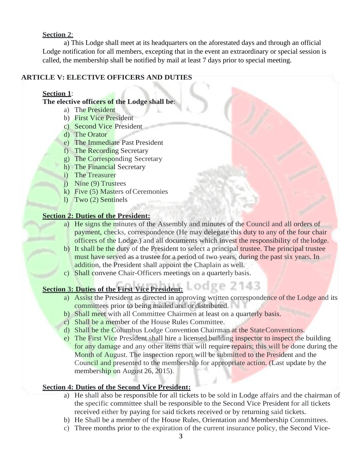## **Section 2**:

a) This Lodge shall meet at its headquarters on the aforestated days and through an official Lodge notification for all members, excepting that in the event an extraordinary or special session is called, the membership shall be notified by mail at least 7 days prior to special meeting.

## **ARTICLE V: ELECTIVE OFFICERS AND DUTIES**

## **Section 1**:

## **The elective officers of the Lodge shall be**:

- a) The President
- b) First Vice President
- c) Second Vice President
- d) The Orator
- e) The Immediate Past President
- f) The Recording Secretary
- g) The Corresponding Secretary
- h) The Financial Secretary
- i) The Treasurer
- j) Nine (9) Trustees
- k) Five (5) Masters of Ceremonies
- l) Two (2) Sentinels

## **Section 2: Duties of the President:**

- a) He signs the minutes of the Assembly and minutes of the Council and all orders of payment, checks, correspondence (He may delegate this duty to any of the four chair officers of the Lodge.) and all documents which invest the responsibility of the lodge.
- b) It shall be the duty of the President to select a principal trustee. The principal trustee must have served as a trustee for a period of two years, during the past six years. In addition, the President shall appoint the Chaplain as well.
- c) Shall convene Chair-Officers meetings on a quarterly basis.

## **Section 3: Duties of the First Vice President:**

- a) Assist the President as directed in approving written correspondence of the Lodge and its committees prior to being mailed and or distributed.
- b) Shall meet with all Committee Chairmen at least on a quarterly basis.
- c) Shall be a member of the House Rules Committee.
- d) Shall be the Columbus Lodge Convention Chairman at the StateConventions.
- e) The First Vice President shall hire a licensed building inspector to inspect the building for any damage and any other items that will require repairs; this will be done during the Month of August. The inspection report will be submitted to the President and the Council and presented to the membership for appropriate action. (Last update by the membership on August 26, 2015).

## **Section 4: Duties of the Second Vice President:**

- a) He shall also be responsible for all tickets to be sold in Lodge affairs and the chairman of the specific committee shall be responsible to the Second Vice President for all tickets received either by paying for said tickets received or by returning said tickets.
- b) He Shall be a member of the House Rules, Orientation and Membership Committees.
- c) Three months prior to the expiration of the current insurance policy, the Second Vice-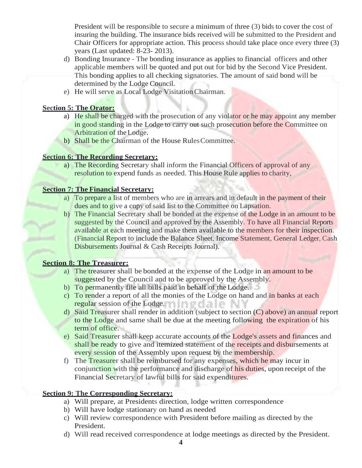President will be responsible to secure a minimum of three (3) bids to cover the cost of insuring the building. The insurance bids received will be submitted to the President and Chair Officers for appropriate action. This process should take place once every three (3) years (Last updated: 8-23- 2013).

- d) Bonding Insurance The bonding insurance as applies to financial officers and other applicable members will be quoted and put out for bid by the Second Vice President. This bonding applies to all checking signatories. The amount of said bond will be determined by the Lodge Council.
- e) He will serve as Local Lodge VisitationChairman.

#### **Section 5: The Orator:**

- a) He shall be charged with the prosecution of any violator or he may appoint any member in good standing in the Lodge to carry out such prosecution before the Committee on Arbitration of theLodge.
- b) Shall be the Chairman of the House Rules Committee.

#### **Section 6: The Recording Secretary:**

a) The Recording Secretary shall inform the Financial Officers of approval of any resolution to expend funds as needed. This House Rule applies to charity,

#### **Section 7: The Financial Secretary:**

- a) To prepare a list of members who are in arrears and in default in the payment of their dues and to give a copy of said list to the Committee on Lapsation.
- b) The Financial Secretary shall be bonded at the expense of the Lodge in an amount to be suggested by the Council and approved by the Assembly. To have all Financial Reports available at each meeting and make them available to the members for their inspection. (Financial Report to include the Balance Sheet, Income Statement, General Ledger, Cash Disbursements Journal & Cash Receipts Journal).

### **Section 8: The Treasurer:**

- a) The treasurer shall be bonded at the expense of the Lodge in an amount to be suggested by the Council and to be approved by the Assembly.
- b) To permanently file all bills paid in behalf of the Lodge.
- c) To render a report of all the monies of the Lodge on hand and in banks at each **regular** session of the Lodge.
- d) Said Treasurer shall render in addition (subject to section (C) above) an annual report to the Lodge and same shall be due at the meeting following the expiration of his term of office.
- e) Said Treasurer shall keep accurate accounts of the Lodge's assets and finances and shall be ready to give and itemized statement of the receipts and disbursements at every session of the Assembly upon request by the membership.
- f) The Treasurer shall be reimbursed for any expenses, which he may incur in conjunction with the performance and discharge of his duties, upon receipt of the Financial Secretary of lawful bills for said expenditures.

### **Section 9: The Corresponding Secretary:**

- a) Will prepare, at Presidents direction, lodge written correspondence
- b) Will have lodge stationary on hand as needed
- c) Will review correspondence with President before mailing as directed by the President.
- d) Will read received correspondence at lodge meetings as directed by the President.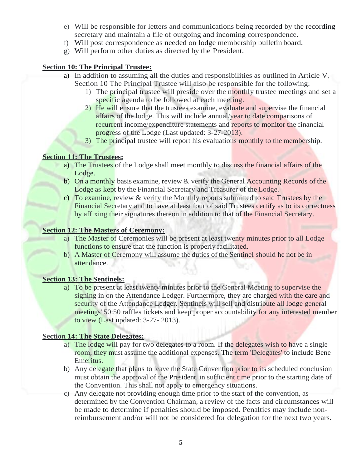- e) Will be responsible for letters and communications being recorded by the recording secretary and maintain a file of outgoing and incoming correspondence.
- f) Will post correspondence as needed on lodge membership bulletin board.
- g) Will perform other duties as directed by the President.

#### **Section 10: The Principal Trustee:**

- a) In addition to assuming all the duties and responsibilities as outlined in Article V, Section 10 The Principal Trustee will also be responsible for the following:
	- 1) The principal trustee will preside over the monthly trustee meetings and set a specific agenda to be followed at each meeting.
	- 2) He will ensure that the trustees examine, evaluate and supervise the financial affairs of the lodge. This will include annual/year to date comparisons of recurrent income/expenditure statements and reports to monitor the financial progress of the Lodge (Last updated: 3-27-2013).
	- 3) The principal trustee will report his evaluations monthly to the membership.

## **Section 11: The Trustees:**

- a) The Trustees of the Lodge shall meet monthly to discuss the financial affairs of the Lodge.
- b) On a monthly basis examine, review & verify the General Accounting Records of the Lodge as kept by the Financial Secretary and Treasurer of the Lodge.
- c) To examine, review & verify the Monthly reports submitted to said Trustees by the Financial Secretary and to have at least four of said Trustees certify as to its correctness by affixing their signatures thereon in addition to that of the Financial Secretary.

#### **Section 12: The Masters of Ceremony:**

- a) The Master of Ceremonies will be present at least twenty minutes prior to all Lodge functions to ensure that the function is properly facilitated.
- b) A Master of Ceremony will assume the duties of the Sentinel should he not be in attendance.

### **Section 13: The Sentinels:**

a) To be present at least twenty minutes prior to the General Meeting to supervise the signing in on the Attendance Ledger. Furthermore, they are charged with the care and security of the Attendance Ledger. Sentinels will sell and distribute all lodge general meetings' 50:50 raffles tickets and keep proper accountability for any interested member to view (Last updated: 3-27- 2013).

### **Section 14: The State Delegates:**

- a) The lodge will pay for two delegates to a room. If the delegates wish to have a single room, they must assume the additional expenses. The term 'Delegates' to include Bene Emeritus.
- b) Any delegate that plans to leave the State Convention prior to its scheduled conclusion must obtain the approval of the President, in sufficient time prior to the starting date of the Convention. This shall not apply to emergency situations.
- c) Any delegate not providing enough time prior to the start of the convention, as determined by the Convention Chairman, a review of the facts and circumstances will be made to determine if penalties should be imposed. Penalties may include nonreimbursement and/or will not be considered for delegation for the next two years.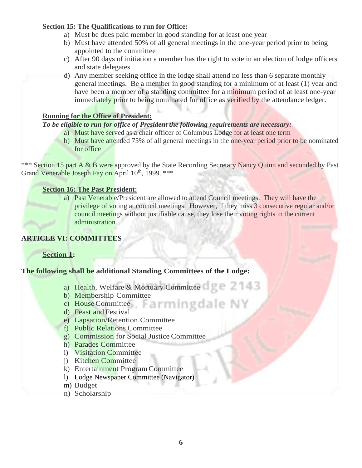## **Section 15: The Qualifications to run for Office:**

- a) Must be dues paid member in good standing for at least one year
- b) Must have attended 50% of all general meetings in the one-year period prior to being appointed to the committee
- c) After 90 days of initiation a member has the right to vote in an election of lodge officers and state delegates
- d) Any member seeking office in the lodge shall attend no less than 6 separate monthly general meetings. Be a member in good standing for a minimum of at least (1) year and have been a member of a standing committee for a minimum period of at least one-year immediately prior to being nominated for office as verified by the attendance ledger.

### **Running for the Office of President:**

## *To be eligible to run for office of President the following requirements are necessary:*

- a) Must have served as a chair officer of Columbus Lodge for at least one term
- b) Must have attended 75% of all general meetings in the one-year period prior to be nominated for office

\*\*\* Section 15 part A & B were approved by the State Recording Secretary Nancy Quinn and seconded by Past Grand Venerable Joseph Fay on April 10<sup>th</sup>, 1999. \*\*\*

### **Section 16: The Past President:**

a) Past Venerable/President are allowed to attend Council meetings. They will have the privilege of voting at council meetings. However, if they miss 3 consecutive regular and/or council meetings without justifiable cause, they lose their voting rights in the current administration.

## **ARTICLE VI: COMMITTEES**

## **Section 1:**

## **The following shall be additional Standing Committees of the Lodge:**

- a) Health, Welfare & Mortuary Committee
- b) Membership Committee
- c) House Committee Farming date
- d) Feast and Festival
- e) Lapsation/Retention Committee
- f) Public Relations Committee
- g) Commission for Social Justice Committee
- h) Parades Committee
- i) Visitation Committee
- j) Kitchen Committee
- k) Entertainment ProgramCommittee
- l) Lodge Newspaper Committee (Navigator)
- m) Budget
- n) Scholarship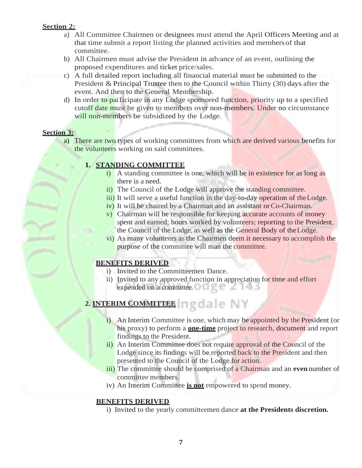## **Section 2:**

- a) All Committee Chairmen or designees must attend the April Officers Meeting and at that time submit a report listing the planned activities and membersof that committee.
- b) All Chairmen must advise the President in advance of an event, outlining the proposed expenditures and ticket price/sales.
- c) A full detailed report including all financial material must be submitted to the President & Principal Trustee then to the Council within Thirty (30) days after the event. And then to the General Membership.
- d) In order to pailicipate in any Lodge sponsored function, priority up to a specified cutoff date must be given to members over non-members. Under no circumstance will non-members be subsidized by the Lodge.

#### **Section 3:**

a) There are two types of working committees from which are derived various benefits for the volunteers working on said committees.

### **1. STANDING COMMITTEE**

- i) A standing committee is one, which will be in existence for as long as there is a need.
- ii) The Council of the Lodge will approve the standing committee.
- iii) It will serve a useful function in the day-to-day operation of the Lodge.
- iv) It will be chaired by a Chairman and an assistant or Co-Chairman.
- v) Chairman will be responsible for keeping accurate accounts of money spent and earned; hours worked by volunteers; reporting to the President, the Council of the Lodge, as well as the General Body of theLodge.
- vi) As many volunteers as the Chairmen deem it necessary to accomplish the purpose of the committee will man the committee.

### **BENEFITS DERIVED**

- i) Invited to the Committeemen Dance.
- ii) Invited to any approved function in appreciation for time and effort expended on a committee.

## **2. INTERIM COMMITTEE**

- i) An Interim Committee is one, which may be appointed by the President (or his proxy) to perform a **one-time** project to research, document and report findings to the President.
- ii) An Interim Committee does not require approval of the Council of the Lodge since its findings will be reported back to the President and then presented to the Council of the Lodge for action.
- iii) The committee should be comprised of a Chairman and an **even**number of committee members.
- iv) An Interim Committee **is not** empowered to spend money.

### **BENEFITS DERIVED**

i) Invited to the yearly committeemen dance **at the Presidents discretion.**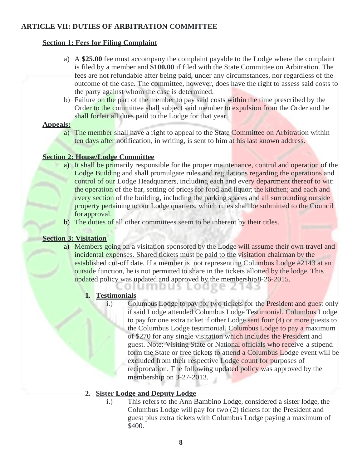## **ARTICLE VII: DUTIES OF ARBITRATION COMMITTEE**

#### **Section 1: Fees for Filing Complaint**

- a) A **\$25.00** fee must accompany the complaint payable to the Lodge where the complaint is filed by a member and **\$100.00** if filed with the State Committee on Arbitration. The fees are not refundable after being paid, under any circumstances, nor regardless of the outcome of the case. The committee, however, does have the right to assess said costs to the party against whom the case is determined.
- b) Failure on the part of the member to pay said costs within the time prescribed by the Order to the committee shall subject said member to expulsion from the Order and he shall forfeit all dues paid to the Lodge for that year.

#### **Appeals:**

a) The member shall have a right to appeal to the State Committee on Arbitration within ten days after notification, in writing, is sent to him at his last known address.

### **Section 2: House/Lodge Committee**

- a) It shall be primarily responsible for the proper maintenance, control and operation of the Lodge Building and shall promulgate rules and regulations regarding the operations and control of our Lodge Headquarters, including each and every department thereof to wit: the operation of the bar, setting of prices for food and liquor; the kitchen; and each and every section of the building, including the parking spaces and all surrounding outside property pertaining to our Lodge quarters, which rules shall be submitted to the Council for approval.
- b) The duties of all other committees seem to be inherent by their titles.

## **Section 3: Visitation**

a) Members going on a visitation sponsored by the Lodge will assume their own travel and incidental expenses. Shared tickets must be paid to the visitation chairman by the established cut-off date. If a member is not representing Columbus Lodge #2143 at an outside function, he is not permitted to share in the tickets allotted by the lodge. This updated policy was updated and approved by the membership 8-26-2015. olumbus Lodge 2143

## **1. Testimonials**

i.) Columbus Lodge to pay for two tickets for the President and guest only if said Lodge attended Columbus Lodge Testimonial. Columbus Lodge to pay for one extra ticket if other Lodge sent four (4) or more guests to the Columbus Lodge testimonial. Columbus Lodge to pay a maximum of \$270 for any single visitation which includes the President and guest. Note: Visiting State or National officials who receive a stipend form the State or free tickets to attend a Columbus Lodge event will be excluded from their respective Lodge count for purposes of reciprocation. The following updated policy was approved by the membership on 3-27-2013.

### **2. Sister Lodge and Deputy Lodge**

i.) This refers to the Ann Bambino Lodge, considered a sister lodge, the Columbus Lodge will pay for two (2) tickets for the President and guest plus extra tickets with Columbus Lodge paying a maximum of \$400.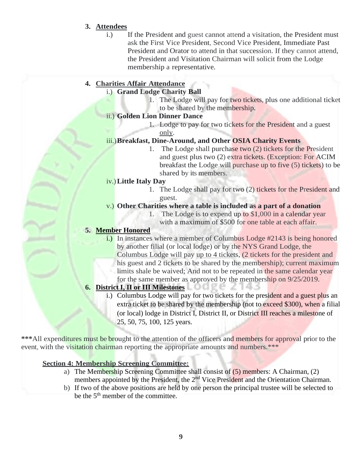## **3. Attendees**

i.) If the President and guest cannot attend a visitation, the President must ask the First Vice President, Second Vice President, Immediate Past President and Orator to attend in that succession. If they cannot attend, the President and Visitation Chairman will solicit from the Lodge membership a representative.

## **4. Charities Affair Attendance**

- i.) **Grand Lodge Charity Ball**
	- 1. The Lodge will pay for two tickets, plus one additional ticket to be shared by the membership.
- ii.) **Golden Lion Dinner Dance**
	- 1. Lodge to pay for two tickets for the President and a guest only.

## iii.)**Breakfast, Dine-Around, and Other OSIA Charity Events**

1. The Lodge shall purchase two (2) tickets for the President and guest plus two (2) extra tickets. (Exception: For ACIM breakfast the Lodge will purchase up to five (5) tickets) to be shared by its members.

### iv.)**Little Italy Day**

- 1. The Lodge shall pay for two (2) tickets for the President and guest.
- v.) **Other Charities where a table is included as a part of a donation**
	- 1. The Lodge is to expend up to  $$1,000$  in a calendar year with a maximum of \$500 for one table at each affair.

## **5. Member Honored**

i.) In instances where a member of Columbus Lodge #2143 is being honored by another filial (or local lodge) or by the NYS Grand Lodge, the Columbus Lodge will pay up to 4 tickets, (2 tickets for the president and his guest and 2 tickets to be shared by the membership); current maximum limits shale be waived; And not to be repeated in the same calendar year for the same member as approved by the membership on 9/25/2019.

## **6. District I, II or III Milestones**

i.) Columbus Lodge will pay for two tickets for the president and a guest plus an extra ticket to be shared by the membership (not to exceed \$300), when a filial (or local) lodge in District I, District II, or District III reaches a milestone of 25, 50, 75, 100, 125 years.

**\*\*\***All expenditures must be brought to the attention of the officers and members for approval prior to the event, with the visitation chairman reporting the appropriate amounts and numbers.\*\*\*

## **Section 4: Membership Screening Committee:**

- a) The Membership Screening Committee shall consist of (5) members: A Chairman, (2) members appointed by the President, the 2<sup>nd</sup> Vice President and the Orientation Chairman.
- b) If two of the above positions are held by one person the principal trustee will be selected to be the 5<sup>th</sup> member of the committee.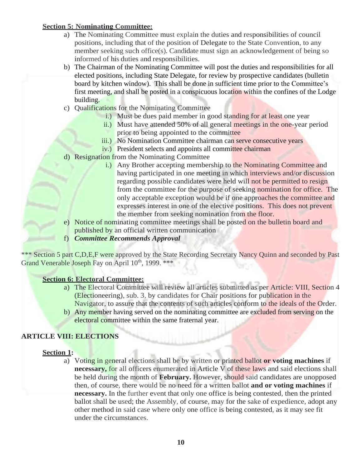## **Section 5: Nominating Committee:**

- a) The Nominating Committee must explain the duties and responsibilities of council positions, including that of the position of Delegate to the State Convention, to any member seeking such office(s). Candidate must sign an acknowledgement of being so informed of his duties and responsibilities.
- b) The Chairman of the Nominating Committee will post the duties and responsibilities for all elected positions, including State Delegate, for review by prospective candidates (bulletin board by kitchen window). This shall be done in sufficient time prior to the Committee's first meeting, and shall be posted in a conspicuous location within the confines of the Lodge building.
- c) Qualifications for the Nominating Committee
	- i.) Must be dues paid member in good standing for at least one year
	- ii.) Must have attended 50% of all general meetings in the one-year period prior to being appointed to the committee
	- iii.) No Nomination Committee chairman can serve consecutive years
	- iv.) President selects and appoints all committee chairman
- d) Resignation from the Nominating Committee
	- i.) Any Brother accepting membership to the Nominating Committee and having participated in one meeting in which interviews and/or discussion regarding possible candidates were held will not be permitted to resign from the committee for the purpose of seeking nomination for office. The only acceptable exception would be if one approaches the committee and expresses interest in one of the elective positions. This does not prevent the member from seeking nomination from the floor.
- e) Notice of nominating committee meetings shall be posted on the bulletin board and published by an official written communication
- f) *Committee Recommends Approval*

\*\*\* Section 5 part C,D,E,F were approved by the State Recording Secretary Nancy Quinn and seconded by Past Grand Venerable Joseph Fay on April 10<sup>th</sup>, 1999. \*\*\*

### **Section 6: Electoral Committee:**

- a) The Electoral Committee will review all articles submitted as per Article: VIII, Section 4 (Electioneering), sub. 3, by candidates for Chair positions for publication in the Navigator, to assure that the contents of such articles conform to the ideals of the Order.
- b) Any member having served on the nominating committee are excluded from serving on the electoral committee within the same fraternal year.

## **ARTICLE VIII: ELECTIONS**

### **Section 1:**

a) Voting in general elections shall be by written or printed ballot **or voting machines** if **necessary,** for all officers enumerated in Article V of these laws and said elections shall be held during the month of **February.** However, should said candidates are unopposed then, of course, there would be no need for a written ballot **and or voting machines** if **necessary.** In the further event that only one office is being contested, then the printed ballot shall be used; the Assembly, of course, may for the sake of expedience, adopt any other method in said case where only one office is being contested, as it may see fit under the circumstances.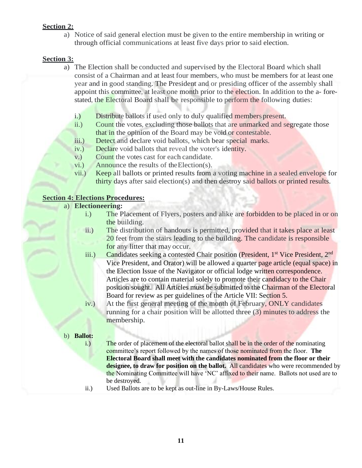## **Section 2:**

a) Notice of said general election must be given to the entire membership in writing or through official communications at least five days prior to said election.

## **Section 3:**

- a) The Election shall be conducted and supervised by the Electoral Board which shall consist of a Chairman and at least four members, who must be members for at least one year and in good standing. The President and or presiding officer of the assembly shall appoint this committee, at least one month prior to the election. In addition to the a-forestated, the Electoral Board shall be responsible to perform the following duties:
	- i.) Distribute ballots if used only to duly qualified members present.
	- ii.) Count the votes, excluding those ballots that are unmarked and segregate those that in the opinion of the Board may be void or contestable.
	- iii.) Detect and declare void ballots, which bear special marks.
	- iv.) Declare void ballots that reveal the voter's identity.
	- v.) Count the votes cast for each candidate.
	- vi.) Announce the results of theElection(s).
	- vii.) Keep all ballots or printed results from a voting machine in a sealed envelope for thirty days after said election(s) and then destroy said ballots or printed results.

### **Section 4: Elections Procedures:**

#### a) **Electioneering:**

- i.) The Placement of Flyers, posters and alike are forbidden to be placed in or on the building.
- ii.) The distribution of handouts is permitted, provided that it takes place at least 20 feet from the stairs leading to the building. The candidate is responsible for any litter that may occur.
- iii.) Candidates seeking a contested Chair position (President, 1<sup>st</sup> Vice President, 2<sup>nd</sup> Vice President, and Orator) will be allowed a quarter page article (equal space) in the Election Issue of the Navigator or official lodge written correspondence. Articles are to contain material solely to promote their candidacy to the Chair position sought. All Articles must be submitted to the Chairman of the Electoral Board for review as per guidelines of the Article VII: Section 5.
- iv.) At the first general meeting of the month of February, ONLY candidates running for a chair position will be allotted three (3) minutes to address the membership.

#### b) **Ballot:**

- i.) The order of placement of the electoral ballot shall be in the order of the nominating committee's report followed by the names of those nominated from the floor. **The Electoral Board shall meet with the candidates nominated from the floor or their designee, to draw for position on the ballot.** All candidates who were recommended by the Nominating Committee will have 'NC' affixed to their name. Ballots not used are to be destroyed.
- ii.) Used Ballots are to be kept as out-line in By-Laws/House Rules.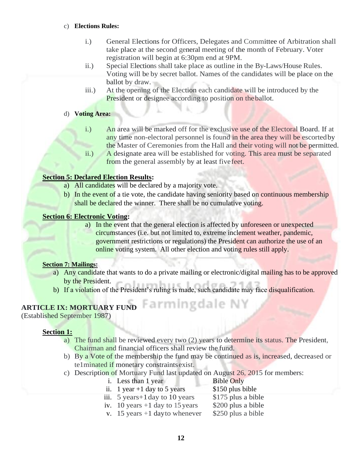#### c) **Elections Rules:**

- i.) General Elections for Officers, Delegates and Committee of Arbitration shall take place at the second general meeting of the month of February. Voter registration will begin at 6:30pm end at 9PM.
- ii.) Special Elections shall take place as outline in the By-Laws/House Rules. Voting will be by secret ballot. Names of the candidates will be place on the ballot by draw.
- iii.) At the opening of the Election each candidate will be introduced by the President or designee according to position on the ballot.

#### d) **Voting Area:**

- i.) An area will be marked off for the exclusive use of the Electoral Board. If at any time non-electoral personnel is found in the area they will be escortedby the Master of Ceremonies from the Hall and their voting will not be permitted.
- ii.) A designate area will be established for voting. This area must be separated from the general assembly by at least five feet.

## **Section 5: Declared Election Results:**

- a) All candidates will be declared by a majority vote.
- b) In the event of a tie vote, the candidate having seniority based on continuous membership shall be declared the winner. There shall be no cumulative voting.

### **Section 6: Electronic Voting:**

a) In the event that the general election is affected by unforeseen or unexpected circumstances (i.e. but not limited to, extreme inclement weather, pandemic, government restrictions or regulations) the President can authorize the use of an online voting system. All other election and voting rules still apply.

### **Section 7: Mailings:**

- a) Any candidate that wants to do a private mailing or electronic/digital mailing has to be approved by the President.
- b) If a violation of the President's ruling is made, such candidate may face disqualification.

## **ARTICLE IX: MORTUARY FUND**

(Established September 1987)

### **Section 1:**

- a) The fund shall be reviewed every two (2) years to determine its status. The President, Chairman and financial officers shall review the fund.
- b) By a Vote of the membership the fund may be continued as is, increased, decreased or te1minated if monetary constraintsexist.
- c) Description of Mortuary Fund last updated on August 26, 2015 for members:

| i. Less than 1 year                | <b>Bible Only</b>  |
|------------------------------------|--------------------|
| ii. 1 year +1 day to 5 years       | \$150 plus bible   |
| iii. $5$ years + 1 day to 10 years | \$175 plus a bible |
| iv. 10 years $+1$ day to 15 years  | \$200 plus a bible |
| v. 15 years $+1$ day to whenever   | \$250 plus a bible |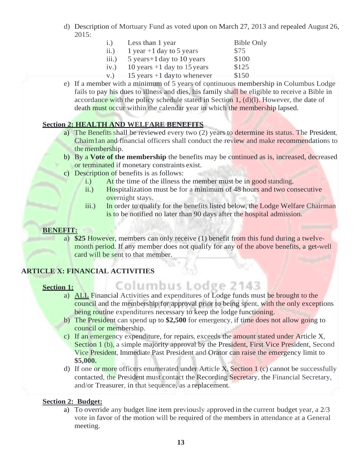- d) Description of Mortuary Fund as voted upon on March 27, 2013 and repealed August 26, 2015:
	- i.) Less than 1 year Bible Only ii.) 1 year +1 day to 5 years  $$75$ iii.)  $5$  years + 1 day to 10 years  $$100$ iv.) 10 years  $+1$  day to 15 years \$125 v.) 15 years  $+1$  day to whenever \$150
- e) If a member with a minimum of 5 years of continuous membership in Columbus Lodge fails to pay his dues to illness and dies, his family shall be eligible to receive a Bible in accordance with the policy schedule stated in Section  $1, (d)(l)$ . However, the date of death must occur within the calendar year in which the membership lapsed.

## **Section 2: HEALTH AND WELFARE BENEFITS**

- a) The Benefits shall be reviewed every two (2) years to determine its status. The President, Chaim1an and financial officers shall conduct the review and make recommendations to the membership.
- b) By a **Vote of the membership** the benefits may be continued as is, increased, decreased or terminated if monetary constraints exist.
- c) Description of benefits is as follows:
	- i.) At the time of the illness the member must be in good standing.
	- ii.) Hospitalization must be for a minimum of 48 hours and two consecutive overnight stays.
	- iii.) In order to qualify for the benefits listed below, the Lodge Welfare Chairman is to be notified no later than 90 days after the hospital admission.

## **BENEFIT:**

a) **\$25** However, members can only receive (1) benefit from this fund during a twelvemonth period. If any member does not qualify for any of the above benefits, a get-well card will be sent to that member.

## **ARTICLE X: FINANCIAL ACTIVITIES**

## **Section 1:**

- Columbus Lodge 2143 a) ALL Financial Activities and expenditures of Lodge funds must be brought to the council and the membership for approval prior to being spent, with the only exceptions being routine expenditures necessary to keep the lodge functioning.
- b) The President can spend up to **\$2,500** for emergency, if time does not allow going to council or membership.
- c) If an emergency expenditure, for repairs, exceeds the amount stated under Article X, Section 1 (b), a simple majority approval by the President, First Vice President, Second Vice President, Immediate Past President and Orator can raise the emergency limit to **\$5,000.**
- d) If one or more officers enumerated under Article X, Section 1 (c) cannot be successfully contacted, the President must contact the Recording Secretary, the Financial Secretary, and/or Treasurer, in that sequence, as a replacement.

## **Section 2: Budget:**

a) To override any budget line item previously approved in the current budget year, a 2/3 vote in favor of the motion will be required of the members in attendance at a General meeting.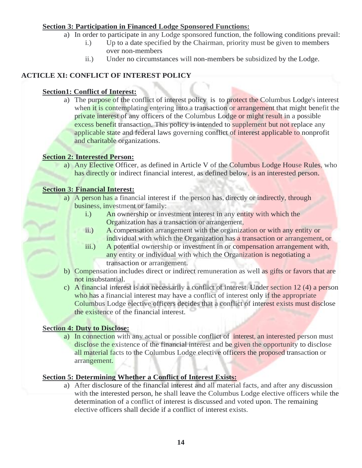## **Section 3: Participation in Financed Lodge Sponsored Functions:**

- a) In order to participate in any Lodge sponsored function, the following conditions prevail:
	- i.) Up to a date specified by the Chairman, priority must be given to members over non-members
	- ii.) Under no circumstances will non-members be subsidized by the Lodge.

## **ACTICLE XI: CONFLICT OF INTEREST POLICY**

## **Section1: Conflict of Interest:**

a) The purpose of the conflict of interest policy is to protect the Columbus Lodge's interest when it is contemplating entering into a transaction or arrangement that might benefit the private interest of any officers of the Columbus Lodge or might result in a possible excess benefit transaction. This policy is intended to supplement but not replace any applicable state and federal laws governing conflict of interest applicable to nonprofit and charitable organizations.

## **Section 2: Interested Person:**

a) Any Elective Officer, as defined in Article V of the Columbus Lodge House Rules, who has directly or indirect financial interest, as defined below, is an interested person.

## **Section 3: Financial Interest:**

- a) A person has a financial interest if the person has, directly or indirectly, through business, investment or family:
	- i.) An ownership or investment interest in any entity with which the Organization has a transaction or arrangement,
	- ii.) A compensation arrangement with the organization or with any entity or individual with which the Organization has a transaction or arrangement, or
	- iii.) A potential ownership or investment in or compensation arrangement with, any entity or individual with which the Organization is negotiating a transaction or arrangement.
- b) Compensation includes direct or indirect remuneration as well as gifts or favors that are not insubstantial.
- c) A financial interest is not necessarily a conflict of interest. Under section 12 (4) a person who has a financial interest may have a conflict of interest only if the appropriate Columbus Lodge elective officers decides that a conflict of interest exists must disclose the existence of the financial interest.

### **Section 4: Duty to Disclose:**

a) In connection with any actual or possible conflict of interest, an interested person must disclose the existence of the financial interest and be given the opportunity to disclose all material facts to the Columbus Lodge elective officers the proposed transaction or arrangement.

## **Section 5: Determining Whether a Conflict of Interest Exists:**

a) After disclosure of the financial interest and all material facts, and after any discussion with the interested person, he shall leave the Columbus Lodge elective officers while the determination of a conflict of interest is discussed and voted upon. The remaining elective officers shall decide if a conflict of interest exists.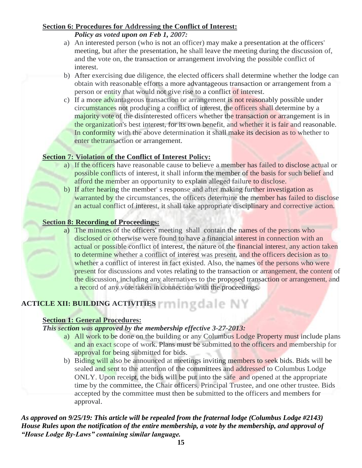## **Section 6: Procedures for Addressing the Conflict of Interest:**

*Policy as voted upon on Feb 1, 2007:*

- a) An interested person (who is not an officer) may make a presentation at the officers' meeting, but after the presentation, he shall leave the meeting during the discussion of, and the vote on, the transaction or arrangement involving the possible conflict of interest.
- b) After exercising due diligence, the elected officers shall determine whether the lodge can obtain with reasonable efforts a more advantageous transaction or arrangement from a person or entity that would not give rise to a conflict of interest.
- c) If a more advantageous transaction or arrangement is not reasonably possible under circumstances not producing a conflict of interest, the officers shall determine by a majority vote of the disinterested officers whether the transaction or arrangement is in the organization's best interest, for its own benefit, and whether it is fair and reasonable. In conformity with the above determination it shall make its decision as to whether to enter thetransaction or arrangement.

## **Section 7: Violation of the Conflict of Interest Policy:**

- a) If the officers have reasonable cause to believe a member has failed to disclose actual or possible conflicts of interest, it shall inform the member of the basis for such belief and afford the member an opportunity to explain alleged failure to disclose.
- b) If after hearing the member' s response and after making further investigation as warranted by the circumstances, the officers determine the member has failed to disclose an actual conflict of interest, it shall take appropriate disciplinary and corrective action.

## **Section 8: Recording of Proceedings:**

a) The minutes of the officers' meeting shall contain the names of the persons who disclosed or otherwise were found to have a financial interest in connection with an actual or possible conflict of interest, the nature of the financial interest, any action taken to determine whether a conflict of interest was present, and the officers decision as to whether a conflict of interest in fact existed. Also, the names of the persons who were present for discussions and votes relating to the transaction or arrangement, the content of the discussion, including any alternatives to the proposed transaction or arrangement, and a record of any vote taken in connection with the proceedings.

## **ACTICLE XII: BUILDING ACTIVITIES**

## **Section 1: General Procedures:**

### *This section was approved by the membership effective 3-27-2013:*

- a) All work to be done on the building or any Columbus Lodge Property must include plans and an exact scope of work. Plans must be submitted to the officers and membership for approval for being submitted for bids.
- b) Biding will also be announced at meetings inviting members to seek bids. Bids will be sealed and sent to the attention of the committees and addressed to Columbus Lodge ONLY. Upon receipt, the bids will be put into the safe and opened at the appropriate time by the committee, the Chair officers, Principal Trustee, and one other trustee. Bids accepted by the committee must then be submitted to the officers and members for approval.

## *As approved on 9/25/19: This article will be repealed from the fraternal lodge (Columbus Lodge #2143) House Rules upon the notification of the entire membership, a vote by the membership, and approval of "House Lodge By-Laws" containing similar language.*